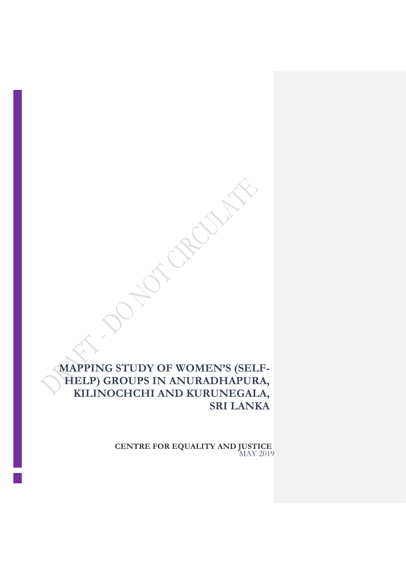# **MAPPING STUDY OF WOMEN'S (SELF-HELP) GROUPS IN ANURADHAPURA, KILINOCHCHI AND KURUNEGALA, SRI LANKA**

**CENTRE FOR EQUALITY AND JUSTICE** MAY 2019

**NOTE OFFICER**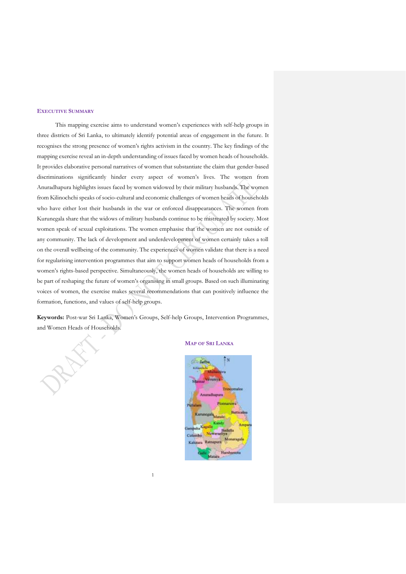#### <span id="page-1-0"></span>**EXECUTIVE SUMMARY**

This mapping exercise aims to understand women's experiences with self-help groups in three districts of Sri Lanka, to ultimately identify potential areas of engagement in the future. It recognises the strong presence of women's rights activism in the country. The key findings of the mapping exercise reveal an in-depth understanding of issues faced by women heads of households. It provides elaborative personal narratives of women that substantiate the claim that gender-based discriminations significantly hinder every aspect of women's lives. The women from Anuradhapura highlights issues faced by women widowed by their military husbands. The women from Kilinochchi speaks of socio-cultural and economic challenges of women heads of households who have either lost their husbands in the war or enforced disappearances. The women from Kurunegala share that the widows of military husbands continue to be mistreated by society. Most women speak of sexual exploitations. The women emphasise that the women are not outside of any community. The lack of development and underdevelopment of women certainly takes a toll on the overall wellbeing of the community. The experiences of women validate that there is a need for regularising intervention programmes that aim to support women heads of households from a women's rights-based perspective. Simultaneously, the women heads of households are willing to be part of reshaping the future of women's organising in small groups. Based on such illuminating voices of women, the exercise makes several recommendations that can positively influence the formation, functions, and values of self-help groups.

<span id="page-1-1"></span>**Keywords:** Post-war Sri Lanka, Women's Groups, Self-help Groups, Intervention Programmes, and Women Heads of Households.

1

#### **MAP OF SRI LANKA**

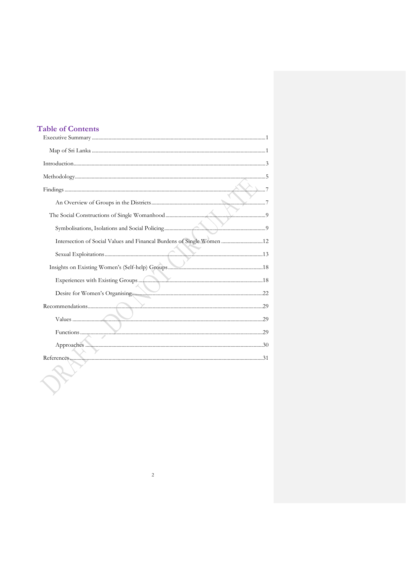# **Table of Contents**

| Intersection of Social Values and Financal Burdens of Single Women  12 |  |
|------------------------------------------------------------------------|--|
|                                                                        |  |
|                                                                        |  |
|                                                                        |  |
|                                                                        |  |
|                                                                        |  |
|                                                                        |  |
|                                                                        |  |
|                                                                        |  |
|                                                                        |  |
|                                                                        |  |
|                                                                        |  |
|                                                                        |  |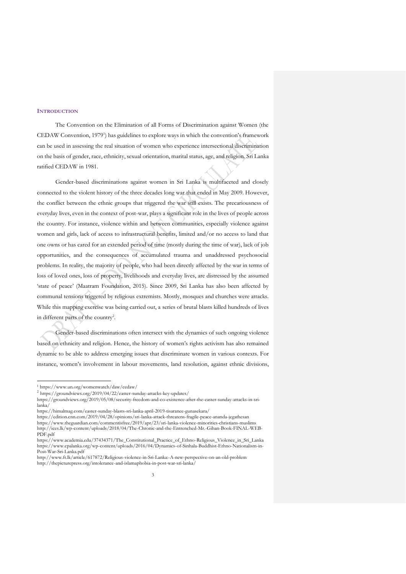## <span id="page-3-0"></span>**INTRODUCTION**

The Convention on the Elimination of all Forms of Discrimination against Women (the CEDAW Convention, 1979<sup>1</sup>) has guidelines to explore ways in which the convention's framework can be used in assessing the real situation of women who experience intersectional discrimination on the basis of gender, race, ethnicity, sexual orientation, marital status, age, and religion. Sri Lanka ratified CEDAW in 1981.

Gender-based discriminations against women in Sri Lanka is multifaceted and closely connected to the violent history of the three decades long war that ended in May 2009. However, the conflict between the ethnic groups that triggered the war still exists. The precariousness of everyday lives, even in the context of post-war, plays a significant role in the lives of people across the country. For instance, violence within and between communities, especially violence against women and girls, lack of access to infrastructural benefits, limited and/or no access to land that one owns or has cared for an extended period of time (mostly during the time of war), lack of job opportunities, and the consequences of accumulated trauma and unaddressed psychosocial problems. In reality, the majority of people, who had been directly affected by the war in terms of loss of loved ones, loss of property, livelihoods and everyday lives, are distressed by the assumed 'state of peace' (Maatram Foundation, 2015). Since 2009, Sri Lanka has also been affected by communal tensions triggered by religious extremists. Mostly, mosques and churches were attacks. While this mapping exercise was being carried out, a series of brutal blasts killed hundreds of lives in different parts of the country<sup>2</sup>.

Gender-based discriminations often intersect with the dynamics of such ongoing violence based on ethnicity and religion. Hence, the history of women's rights activism has also remained dynamic to be able to address emerging issues that discriminate women in various contexts. For instance, women's involvement in labour movements, land resolution, against ethnic divisions,

j

<sup>1</sup> https://www.un.org/womenwatch/daw/cedaw/

<sup>2</sup> <https://groundviews.org/2019/04/22/easter-sunday-attacks-key-updates/>

[https://groundviews.org/2019/05/08/security-freedom-and-co-existence-after-the-easter-sunday-attacks-in-sri](https://groundviews.org/2019/05/08/security-freedom-and-co-existence-after-the-easter-sunday-attacks-in-sri-lanka/)[lanka/](https://groundviews.org/2019/05/08/security-freedom-and-co-existence-after-the-easter-sunday-attacks-in-sri-lanka/)

<https://himalmag.com/easter-sunday-blasts-sri-lanka-april-2019-tisaranee-gunasekara/>

<https://edition.cnn.com/2019/04/28/opinions/sri-lanka-attack-threatens-fragile-peace-ananda-jegathesan> <https://www.theguardian.com/commentisfree/2019/apr/23/sri-lanka-violence-minorities-christians-muslims>

[http://ices.lk/wp-content/uploads/2018/04/The-Chronic-and-the-Entrenched-Mr.-Gihan-Book-FINAL-WEB-](http://ices.lk/wp-content/uploads/2018/04/The-Chronic-and-the-Entrenched-Mr.-Gihan-Book-FINAL-WEB-PDF.pdf)[PDF.pdf](http://ices.lk/wp-content/uploads/2018/04/The-Chronic-and-the-Entrenched-Mr.-Gihan-Book-FINAL-WEB-PDF.pdf)

[https://www.academia.edu/37434371/The\\_Constitutional\\_Practice\\_of\\_Ethno-Religious\\_Violence\\_in\\_Sri\\_Lanka](https://www.academia.edu/37434371/The_Constitutional_Practice_of_Ethno-Religious_Violence_in_Sri_Lanka) [https://www.cpalanka.org/wp-content/uploads/2016/04/Dynamics-of-Sinhala-Buddhist-Ethno-Nationalism-in-](https://www.cpalanka.org/wp-content/uploads/2016/04/Dynamics-of-Sinhala-Buddhist-Ethno-Nationalism-in-Post-War-Sri-Lanka.pdf)[Post-War-Sri-Lanka.pdf](https://www.cpalanka.org/wp-content/uploads/2016/04/Dynamics-of-Sinhala-Buddhist-Ethno-Nationalism-in-Post-War-Sri-Lanka.pdf)

<http://www.ft.lk/article/617872/Religious-violence-in-Sri-Lanka:-A-new-perspective-on-an-old-problem> <http://thepicturepress.org/intolerance-and-islamaphobia-in-post-war-sri-lanka/>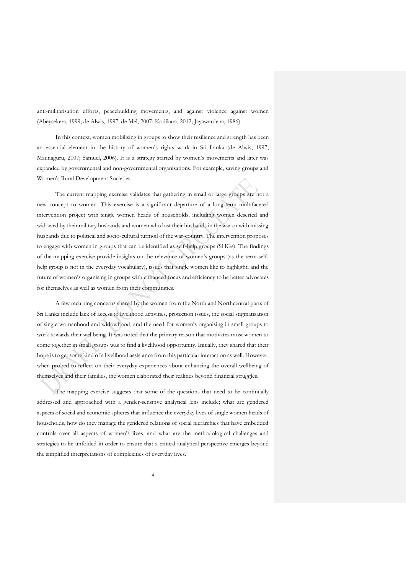anti-militarisation efforts, peacebuilding movements, and against violence against women (Abeysekera, 1999; de Alwis, 1997; de Mel, 2007; Kodikara, 2012; Jayawardena, 1986).

In this context, women mobilising in groups to show their resilience and strength has been an essential element in the history of women's rights work in Sri Lanka (de Alwis, 1997; Maunaguru, 2007; Samuel, 2006). It is a strategy started by women's movements and later was expanded by governmental and non-governmental organisations. For example, saving groups and Women's Rural Development Societies.

The current mapping exercise validates that gathering in small or large groups are not a new concept to women. This exercise is a significant departure of a long-term multifaceted intervention project with single women heads of households, including women deserted and widowed by their military husbands and women who lost their husbands in the war or with missing husbands due to political and socio-cultural turmoil of the war-country. The intervention proposes to engage with women in groups that can be identified as self-help groups (SHGs). The findings of the mapping exercise provide insights on the relevance of women's groups (as the term selfhelp group is not in the everyday vocabulary), issues that single women like to highlight, and the future of women's organising in groups with enhanced focus and efficiency to be better advocates for themselves as well as women from their communities.

A few recurring concerns shared by the women from the North and Northcentral parts of Sri Lanka include lack of access to livelihood activities, protection issues, the social stigmatisation of single womanhood and widowhood, and the need for women's organising in small groups to work towards their wellbeing. It was noted that the primary reason that motivates most women to come together in small groups was to find a livelihood opportunity. Initially, they shared that their hope is to get some kind of a livelihood assistance from this particular interaction as well. However, when probed to reflect on their everyday experiences about enhancing the overall wellbeing of themselves and their families, the women elaborated their realities beyond financial struggles.

The mapping exercise suggests that some of the questions that need to be continually addressed and approached with a gender-sensitive analytical lens include; what are gendered aspects of social and economic spheres that influence the everyday lives of single women heads of households, how do they manage the gendered relations of social hierarchies that have embedded controls over all aspects of women's lives, and what are the methodological challenges and strategies to be unfolded in order to ensure that a critical analytical perspective emerges beyond the simplified interpretations of complexities of everyday lives.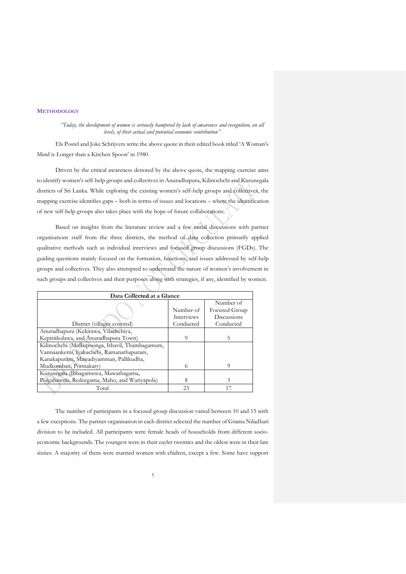# <span id="page-5-0"></span>**METHODOLOGY**

*"Today, the development of women is seriously hampered by lack of awareness and recognition, on all levels, of their actual and potential economic contribution"*

Els Postel and Joke Schrijvers write the above quote in their edited book titled 'A Woman's Mind is Longer than a Kitchen Spoon' in 1980.

Driven by the critical awareness denoted by the above quote, the mapping exercise aims to identify women's self-help groups and collectives in Anuradhapura, Kilinochchi and Kurunegala districts of Sri Lanka. While exploring the existing women's self-help groups and collectives, the mapping exercise identifies gaps – both in terms of issues and locations – where the identification of new self-help groups also takes place with the hope of future collaborations.

Based on insights from the literature review and a few initial discussions with partner organisations staff from the three districts, the method of data collection primarily applied qualitative methods such as individual interviews and focused group discussions (FGDs). The guiding questions mainly focused on the formation, functions, and issues addressed by self-help groups and collectives. They also attempted to understand the nature of women's involvement in such groups and collectives and their purposes along with strategies, if any, identified by women.

| Data Collected at a Glance                       |                   |               |
|--------------------------------------------------|-------------------|---------------|
|                                                  |                   | Number of     |
|                                                  | Number of         | Focused Group |
|                                                  | <b>Interviews</b> | Discussions   |
| District (villages covered)                      | Conducted         | Conducted     |
| Anuradhapura (Kekirawa, Vilachchiya,             |                   |               |
| Kepittikolawa, and Anuradhapura Town)            |                   | 5             |
| Kilinochchi (Mullaipoonga, Ithavil, Thambagamum, |                   |               |
| Vannaankerni, Iyakachchi, Ramanathapuram,        |                   |               |
| Kanakapuram, Mawadiyamman, Pallikudha,           |                   |               |
| Mudkomban, Poonakary)                            | 6                 | 9             |
| Kurunegala (Ibbagamuwa, Mawathagama,             |                   |               |
| Polgahawela, Redeegama, Maho, and Wariyapola)    | 8                 | 3             |
| Total                                            | 23                |               |

The number of participants in a focused group discussion varied between 10 and 15 with a few exceptions. The partner organisation in each district selected the number of Grama Niladhari division to be included. All participants were female heads of households from different socioeconomic backgrounds. The youngest were in their eayler twenties and the oldest were in their late sixties. A majority of them were married women with chidren, except a few. Some have support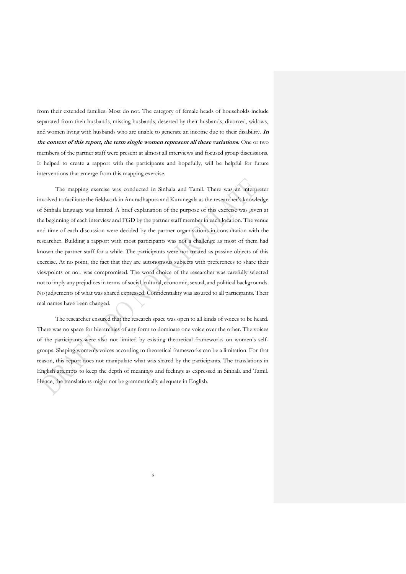from their extended families. Most do not. The category of female heads of households include separated from their husbands, missing husbands, deserted by their husbands, divorced, widows, and women living with husbands who are unable to generate an income due to their disability. **In the context of this report, the term single women represent all these variations.** One or two members of the partner staff were present at almost all interviews and focused group discussions. It helped to create a rapport with the participants and hopefully, will be helpful for future interventions that emerge from this mapping exercise.

The mapping exercise was conducted in Sinhala and Tamil. There was an interpreter involved to facilitate the fieldwork in Anuradhapura and Kurunegala as the researcher's knowledge of Sinhala language was limited. A brief explanation of the purpose of this exercise was given at the beginning of each interview and FGD by the partner staff member in each location. The venue and time of each discussion were decided by the partner organisations in consultation with the researcher. Building a rapport with most participants was not a challenge as most of them had known the partner staff for a while. The participants were not treated as passive objects of this exercise. At no point, the fact that they are autonomous subjects with preferences to share their viewpoints or not, was compromised. The word choice of the researcher was carefully selected not to imply any prejudices in terms of social, cultural, economic, sexual, and political backgrounds. No judgements of what was shared expressed. Confidentiality was assured to all participants. Their real names have been changed.

The researcher ensured that the research space was open to all kinds of voices to be heard. There was no space for hierarchies of any form to dominate one voice over the other. The voices of the participants were also not limited by existing theoretical frameworks on women's selfgroups. Shaping women's voices according to theoretical frameworks can be a limitation. For that reason, this report does not manipulate what was shared by the participants. The translations in English attempts to keep the depth of meanings and feelings as expressed in Sinhala and Tamil. Hence, the translations might not be grammatically adequate in English.

6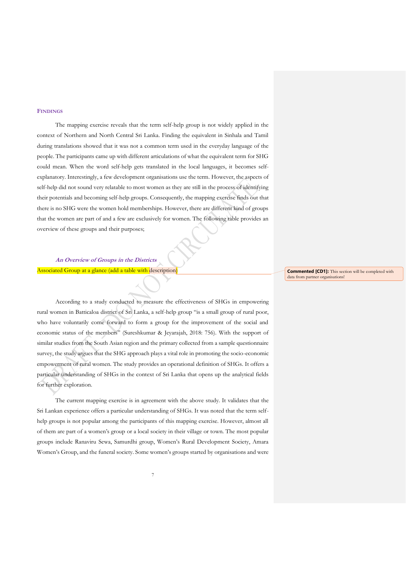## <span id="page-7-0"></span>**FINDINGS**

The mapping exercise reveals that the term self-help group is not widely applied in the context of Northern and North Central Sri Lanka. Finding the equivalent in Sinhala and Tamil during translations showed that it was not a common term used in the everyday language of the people. The participants came up with different articulations of what the equivalent term for SHG could mean. When the word self-help gets translated in the local languages, it becomes selfexplanatory. Interestingly, a few development organisations use the term. However, the aspects of self-help did not sound very relatable to most women as they are still in the process of identifying their potentials and becoming self-help groups. Consequently, the mapping exercise finds out that there is no SHG were the women hold memberships. However, there are different kind of groups that the women are part of and a few are exclusively for women. The following table provides an overview of these groups and their purposes;

<span id="page-7-1"></span>**An Overview of Groups in the Districts**  Associated Group at a glance (add a table with description)

According to a study conducted to measure the effectiveness of SHGs in empowering rural women in Batticaloa district of Sri Lanka, a self-help group "is a small group of rural poor, who have voluntarily come forward to form a group for the improvement of the social and economic status of the members" (Sureshkumar & Jeyarajah, 2018: 756). With the support of similar studies from the South Asian region and the primary collected from a sample questionnaire survey, the study argues that the SHG approach plays a vital role in promoting the socio-economic empowerment of rural women. The study provides an operational definition of SHGs. It offers a particular understanding of SHGs in the context of Sri Lanka that opens up the analytical fields for further exploration.

The current mapping exercise is in agreement with the above study. It validates that the Sri Lankan experience offers a particular understanding of SHGs. It was noted that the term selfhelp groups is not popular among the participants of this mapping exercise. However, almost all of them are part of a women's group or a local society in their village or town. The most popular groups include Ranaviru Sewa, Samurdhi group, Women's Rural Development Society, Amara Women's Group, and the funeral society. Some women's groups started by organisations and were

**Commented [CD1]:** This section will be completed with data from partner organisations!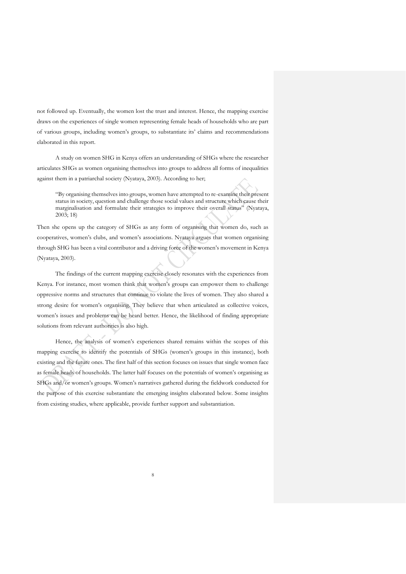not followed up. Eventually, the women lost the trust and interest. Hence, the mapping exercise draws on the experiences of single women representing female heads of households who are part of various groups, including women's groups, to substantiate its' claims and recommendations elaborated in this report.

A study on women SHG in Kenya offers an understanding of SHGs where the researcher articulates SHGs as women organising themselves into groups to address all forms of inequalities against them in a patriarchal society (Nyataya, 2003). According to her;

"By organising themselves into groups, women have attempted to re-examine their present status in society, question and challenge those social values and structure which cause their marginalisation and formulate their strategies to improve their overall status" (Nyataya, 2003; 18)

Then she opens up the category of SHGs as any form of organising that women do, such as cooperatives, women's clubs, and women's associations. Nyataya argues that women organising through SHG has been a vital contributor and a driving force of the women's movement in Kenya (Nyataya, 2003).

The findings of the current mapping exercise closely resonates with the experiences from Kenya. For instance, most women think that women's groups can empower them to challenge oppressive norms and structures that continue to violate the lives of women. They also shared a strong desire for women's organising. They believe that when articulated as collective voices, women's issues and problems can be heard better. Hence, the likelihood of finding appropriate solutions from relevant authorities is also high.

Hence, the analysis of women's experiences shared remains within the scopes of this mapping exercise to identify the potentials of SHGs (women's groups in this instance), both existing and the future ones. The first half of this section focuses on issues that single women face as female heads of households. The latter half focuses on the potentials of women's organising as SHGs and/or women's groups. Women's narratives gathered during the fieldwork conducted for the purpose of this exercise substantiate the emerging insights elaborated below. Some insights from existing studies, where applicable, provide further support and substantiation.

8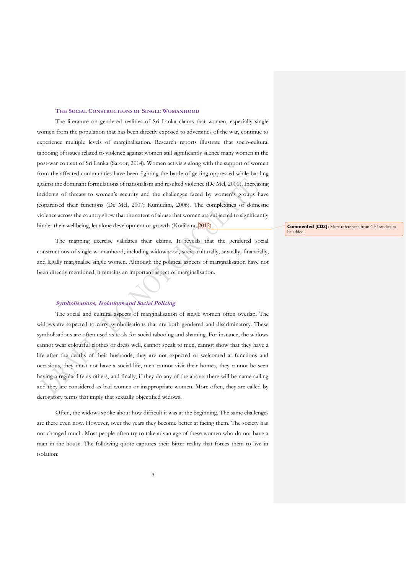## **THE SOCIAL CONSTRUCTIONS OF SINGLE WOMANHOOD**

<span id="page-9-0"></span>The literature on gendered realities of Sri Lanka claims that women, especially single women from the population that has been directly exposed to adversities of the war, continue to experience multiple levels of marginalisation. Research reports illustrate that socio-cultural tabooing of issues related to violence against women still significantly silence many women in the post-war context of Sri Lanka (Saroor, 2014). Women activists along with the support of women from the affected communities have been fighting the battle of getting oppressed while battling against the dominant formulations of nationalism and resulted violence (De Mel, 2001). Increasing incidents of threats to women's security and the challenges faced by women's groups have jeopardised their functions (De Mel, 2007; Kumudini, 2006). The complexities of domestic violence across the country show that the extent of abuse that women are subjected to significantly hinder their wellbeing, let alone development or growth (Kodikara, 2012).

The mapping exercise validates their claims. It reveals that the gendered social constructions of single womanhood, including widowhood, socio-culturally, sexually, financially, and legally marginalise single women. Although the political aspects of marginalisation have not been directly mentioned, it remains an important aspect of marginalisation.

# **Symbolisations, Isolations and Social Policing**

<span id="page-9-1"></span>The social and cultural aspects of marginalisation of single women often overlap. The widows are expected to carry symbolisations that are both gendered and discriminatory. These symbolisations are often used as tools for social tabooing and shaming. For instance, the widows cannot wear colourful clothes or dress well, cannot speak to men, cannot show that they have a life after the deaths of their husbands, they are not expected or welcomed at functions and occasions, they must not have a social life, men cannot visit their homes, they cannot be seen having a regular life as others, and finally, if they do any of the above, there will be name calling and they are considered as bad women or inappropriate women. More often, they are called by derogatory terms that imply that sexually objectified widows.

Often, the widows spoke about how difficult it was at the beginning. The same challenges are there even now. However, over the years they become better at facing them. The society has not changed much. Most people often try to take advantage of these women who do not have a man in the house. The following quote captures their bitter reality that forces them to live in isolation:

**Commented [CD2]:** More references from CEJ studies to be added!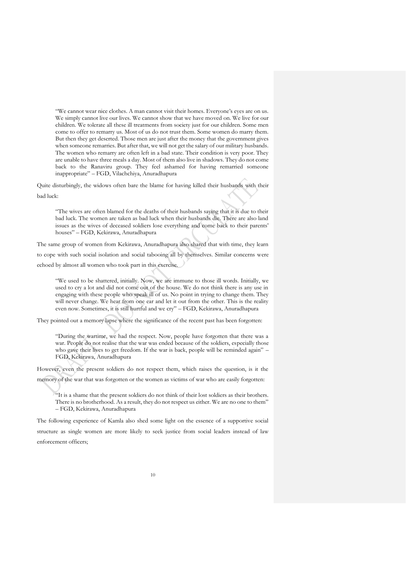"We cannot wear nice clothes. A man cannot visit their homes. Everyone's eyes are on us. We simply cannot live our lives. We cannot show that we have moved on. We live for our children. We tolerate all these ill treatments from society just for our children. Some men come to offer to remarry us. Most of us do not trust them. Some women do marry them. But then they get deserted. Those men are just after the money that the government gives when someone remarries. But after that, we will not get the salary of our military husbands. The women who remarry are often left in a bad state. Their condition is very poor. They are unable to have three meals a day. Most of them also live in shadows. They do not come back to the Ranaviru group. They feel ashamed for having remarried someone inappropriate" – FGD, Vilachchiya, Anuradhapura

Quite disturbingly, the widows often bare the blame for having killed their husbands with their bad luck:

"The wives are often blamed for the deaths of their husbands saying that it is due to their bad luck. The women are taken as bad luck when their husbands die. There are also land issues as the wives of deceased soldiers lose everything and come back to their parents' houses" – FGD, Kekirawa, Anuradhapura

The same group of women from Kekirawa, Anuradhapura also shared that with time, they learn to cope with such social isolation and social tabooing all by themselves. Similar concerns were echoed by almost all women who took part in this exercise.

"We used to be shattered, initially. Now, we are immune to those ill words. Initially, we used to cry a lot and did not come out of the house. We do not think there is any use in engaging with these people who speak ill of us. No point in trying to change them. They will never change. We hear from one ear and let it out from the other. This is the reality even now. Sometimes, it is still hurtful and we cry" – FGD, Kekirawa, Anuradhapura

They pointed out a memory lapse where the significance of the recent past has been forgotten:

"During the wartime, we had the respect. Now, people have forgotten that there was a war. People do not realise that the war was ended because of the soldiers, especially those who gave their lives to get freedom. If the war is back, people will be reminded again" – FGD, Kekirawa, Anuradhapura

However, even the present soldiers do not respect them, which raises the question, is it the

memory of the war that was forgotten or the women as victims of war who are easily forgotten:

"It is a shame that the present soldiers do not think of their lost soldiers as their brothers. There is no brotherhood. As a result, they do not respect us either. We are no one to them" – FGD, Kekirawa, Anuradhapura

The following experience of Kamla also shed some light on the essence of a supportive social structure as single women are more likely to seek justice from social leaders instead of law enforcement officers;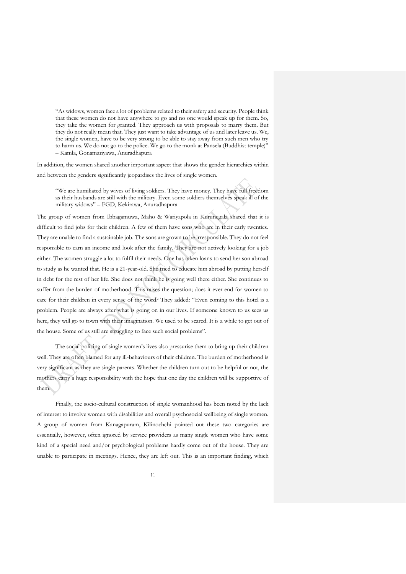"As widows, women face a lot of problems related to their safety and security. People think that these women do not have anywhere to go and no one would speak up for them. So, they take the women for granted. They approach us with proposals to marry them. But they do not really mean that. They just want to take advantage of us and later leave us. We, the single women, have to be very strong to be able to stay away from such men who try to harm us. We do not go to the police. We go to the monk at Pansela (Buddhist temple)" – Kamla, Gonamariyawa, Anuradhapura

In addition, the women shared another important aspect that shows the gender hierarchies within and between the genders significantly jeopardises the lives of single women.

"We are humiliated by wives of living soldiers. They have money. They have full freedom as their husbands are still with the military. Even some soldiers themselves speak ill of the military widows" – FGD, Kekirawa, Anuradhapura

The group of women from Ibbagamuwa, Maho & Wariyapola in Kurunegala shared that it is difficult to find jobs for their children. A few of them have sons who are in their early twenties. They are unable to find a sustainable job. The sons are grown to be irresponsible. They do not feel responsible to earn an income and look after the family. They are not actively looking for a job either. The women struggle a lot to fulfil their needs. One has taken loans to send her son abroad to study as he wanted that. He is a 21-year-old. She tried to educate him abroad by putting herself in debt for the rest of her life. She does not think he is going well there either. She continues to suffer from the burden of motherhood. This raises the question; does it ever end for women to care for their children in every sense of the word? They added: "Even coming to this hotel is a problem. People are always after what is going on in our lives. If someone known to us sees us here, they will go to town with their imagination. We used to be scared. It is a while to get out of the house. Some of us still are struggling to face such social problems".

The social policing of single women's lives also pressurise them to bring up their children well. They are often blamed for any ill-behaviours of their children. The burden of motherhood is very significant as they are single parents. Whether the children turn out to be helpful or not, the mothers carry a huge responsibility with the hope that one day the children will be supportive of them.

Finally, the socio-cultural construction of single womanhood has been noted by the lack of interest to involve women with disabilities and overall psychosocial wellbeing of single women. A group of women from Kanagapuram, Kilinochchi pointed out these two categories are essentially, however, often ignored by service providers as many single women who have some kind of a special need and/or psychological problems hardly come out of the house. They are unable to participate in meetings. Hence, they are left out. This is an important finding, which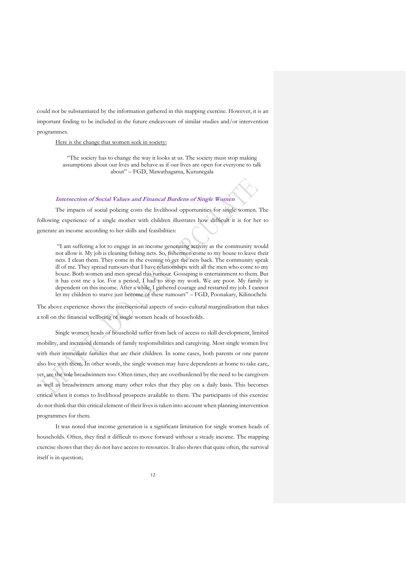could not be substantiated by the information gathered in this mapping exercise. However, it is an

important finding to be included in the future endeavours of similar studies and/or intervention programmes.

#### Here is the change that women seek in society:

"The society has to change the way it looks at us. The society must stop making assumptions about our lives and behave as if our lives are open for everyone to talk about" – FGD, Mawathagama, Kurunegala

# <span id="page-12-0"></span>**Intersection of Social Values and Financal Burdens of Single Women**

The impacts of social policing costs the livelihood opportunities for single women. The following experience of a single mother with children illustrates how difficult it is for her to generate an income according to her skills and feasibilities:

"I am suffering a lot to engage in an income generating activity as the community would not allow it. My job is cleaning fishing nets. So, fishermen come to my house to leave their nets. I clean them. They come in the evening to get the nets back. The community speak ill of me. They spread rumours that I have relationships with all the men who come to my house. Both women and men spread this rumour. Gossiping is entertainment to them. But it has cost me a lot. For a period, I had to stop my work. We are poor. My family is dependent on this income. After a while, I gathered courage and restarted my job. I cannot let my children to starve just become of these rumours" – FGD, Poonakary, Kilinochchi

The above experience shows the intersectional aspects of socio-cultural marginalisation that takes a toll on the financial wellbeing of single women heads of households.

Single women heads of household suffer from lack of access to skill development, limited mobility, and increased demands of family responsibilities and caregiving. Most single women live with their immediate families that are their children. In some cases, both parents or one parent also live with them. In other words, the single women may have dependents at home to take care, yet, are the sole breadwinners too. Often times, they are overburdened by the need to be caregivers as well as breadwinners among many other roles that they play on a daily basis. This becomes critical when it comes to livelihood prospects available to them. The participants of this exercise do not think that this critical element of their lives is taken into account when planning intervention programmes for them.

It was noted that income generation is a significant limitation for single women heads of households. Often, they find it difficult to move forward without a steady income. The mapping exercise shows that they do not have access to resources. It also shows that quite often, the survival itself is in question;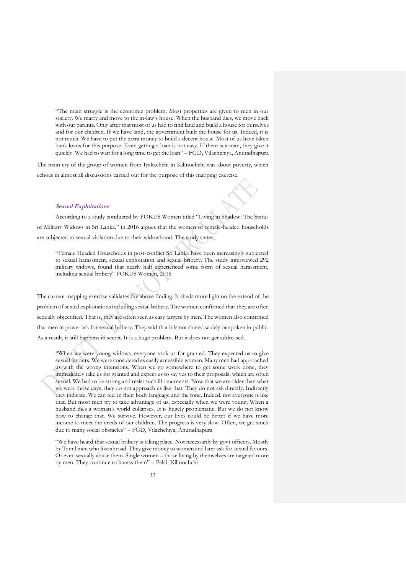"The main struggle is the economic problem. Most properties are given to men in our society. We marry and move to the in-law's house. When the husband dies, we move back with our parents. Only after that most of us had to find land and build a house for ourselves and for our children. If we have land, the government built the house for us. Indeed, it is not much. We have to put the extra money to build a decent house. Most of us have taken bank loans for this purpose. Even getting a loan is not easy. If there is a man, they give it quickly. We had to wait for a long time to get the loan" – FGD, Vilachchiya, Anuradhapura

The main cry of the group of women from Iyakachchi in Kilinochchi was about poverty, which echoes in almost all discussions carried out for the purpose of this mapping exercise.

#### <span id="page-13-0"></span>**Sexual Exploitations**

According to a study conducted by FOKUS Women titled "Living in Shadow: The Status of Military Widows in Sri Lanka," in 2016 argues that the women of female-headed households are subjected to sexual violation due to their widowhood. The study states;

"Female Headed Households in post-conflict Sri Lanka have been increasingly subjected to sexual harassment, sexual exploitation and sexual bribery. The study interviewed 292 military widows, found that nearly half experienced some form of sexual harassment, including sexual bribery" FOKUS Women, 2016

The current mapping exercise validates the above finding. It sheds more light on the extend of the problem of sexual exploitations including sexual bribery. The women confirmed that they are often sexually objectified. That is, they are often seen as easy targets by men. The women also confirmed that men in power ask for sexual bribery. They said that it is not shared widely or spoken in public. As a result, it still happens in secret. It is a huge problem. But it does not get addressed.

"When we were young widows, everyone took us for granted. They expected us to give sexual favours. We were considered as easily accessible women. Many men had approached us with the wrong intensions. When we go somewhere to get some work done, they immediately take us for granted and expect us to say yes to their proposals, which are often sexual. We had to be strong and resist such ill treatments. Now that we are older than what we were those days, they do not approach us like that. They do not ask directly. Indirectly they indicate. We can feel in their body language and the tone. Indeed, not everyone is like that. But most men try to take advantage of us, especially when we were young. When a husband dies a woman's world collapses. It is hugely problematic. But we do not know how to change that. We survive. However, our lives could be better if we have more income to meet the needs of our children. The progress is very slow. Often, we get stuck due to many social obstacles" – FGD, Vilachchiya, Anuradhapura

"We have heard that sexual bribery is taking place. Not necessarily by govt officers. Mostly by Tamil men who live abroad. They give money to women and later ask for sexual favours. Or even sexually abuse them. Single women – those living by themselves are targeted more by men. They continue to harass them" – Palai, Kilinochchi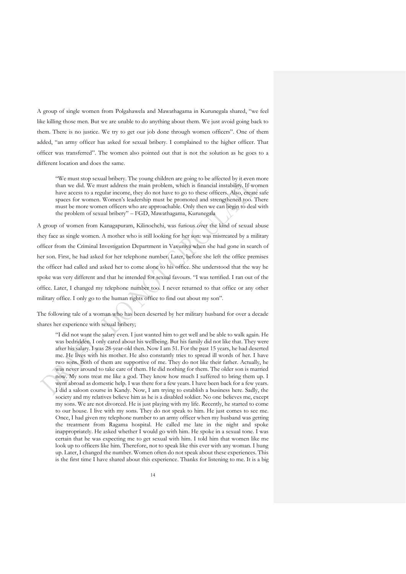A group of single women from Polgahawela and Mawathagama in Kurunegala shared, "we feel like killing those men. But we are unable to do anything about them. We just avoid going back to them. There is no justice. We try to get our job done through women officers". One of them added, "an army officer has asked for sexual bribery. I complained to the higher officer. That officer was transferred". The women also pointed out that is not the solution as he goes to a different location and does the same.

"We must stop sexual bribery. The young children are going to be affected by it even more than we did. We must address the main problem, which is financial instability. If women have access to a regular income, they do not have to go to these officers. Also, create safe spaces for women. Women's leadership must be promoted and strengthened too. There must be more women officers who are approachable. Only then we can begin to deal with the problem of sexual bribery" – FGD, Mawathagama, Kurunegala

A group of women from Kanagapuram, Kilinochchi, was furious over the kind of sexual abuse they face as single women. A mother who is still looking for her son: was mistreated by a military officer from the Criminal Investigation Department in Vavuniya when she had gone in search of her son. First, he had asked for her telephone number. Later, before she left the office premises the officer had called and asked her to come alone to his office. She understood that the way he spoke was very different and that he intended for sexual favours. "I was terrified. I ran out of the office. Later, I changed my telephone number too. I never returned to that office or any other military office. I only go to the human rights office to find out about my son".

The following tale of a woman who has been deserted by her military husband for over a decade shares her experience with sexual bribery;

"I did not want the salary even. I just wanted him to get well and be able to walk again. He was bedridden. I only cared about his wellbeing. But his family did not like that. They were after his salary. I was 28-year-old then. Now I am 51. For the past 15 years, he had deserted me. He lives with his mother. He also constantly tries to spread ill words of her. I have two sons. Both of them are supportive of me. They do not like their father. Actually, he was never around to take care of them. He did nothing for them. The older son is married now. My sons treat me like a god. They know how much I suffered to bring them up. I went abroad as domestic help. I was there for a few years. I have been back for a few years. I did a saloon course in Kandy. Now, I am trying to establish a business here. Sadly, the society and my relatives believe him as he is a disabled soldier. No one believes me, except my sons. We are not divorced. He is just playing with my life. Recently, he started to come to our house. I live with my sons. They do not speak to him. He just comes to see me. Once, I had given my telephone number to an army officer when my husband was getting the treatment from Ragama hospital. He called me late in the night and spoke inappropriately. He asked whether I would go with him. He spoke in a sexual tone. I was certain that he was expecting me to get sexual with him. I told him that women like me look up to officers like him. Therefore, not to speak like this ever with any woman. I hung up. Later, I changed the number. Women often do not speak about these experiences. This is the first time I have shared about this experience. Thanks for listening to me. It is a big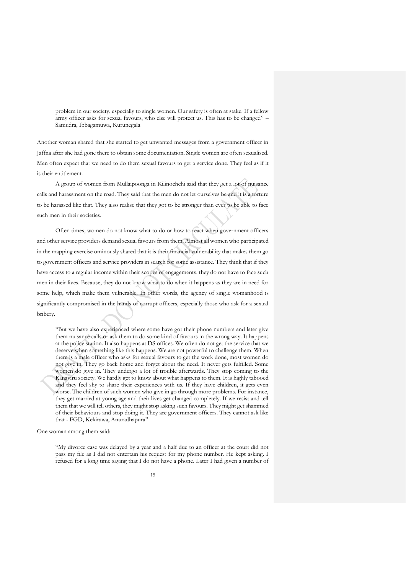problem in our society, especially to single women. Our safety is often at stake. If a fellow army officer asks for sexual favours, who else will protect us. This has to be changed" – Samudra, Ibbagamuwa, Kurunegala

Another woman shared that she started to get unwanted messages from a government officer in Jaffna after she had gone there to obtain some documentation. Single women are often sexualised. Men often expect that we need to do them sexual favours to get a service done. They feel as if it is their entitlement.

A group of women from Mullaipoonga in Kilinochchi said that they get a lot of nuisance calls and harassment on the road. They said that the men do not let ourselves be and it is a torture to be harassed like that. They also realise that they got to be stronger than ever to be able to face such men in their societies.

Often times, women do not know what to do or how to react when government officers and other service providers demand sexual favours from them. Almost all women who participated in the mapping exercise ominously shared that it is their financial vulnerability that makes them go to government officers and service providers in search for some assistance. They think that if they have access to a regular income within their scopes of engagements, they do not have to face such men in their lives. Because, they do not know what to do when it happens as they are in need for some help, which make them vulnerable. In other words, the agency of single womanhood is significantly compromised in the hands of corrupt officers, especially those who ask for a sexual bribery.

"But we have also experienced where some have got their phone numbers and later give them nuisance calls or ask them to do some kind of favours in the wrong way. It happens at the police station. It also happens at DS offices. We often do not get the service that we deserve when something like this happens. We are not powerful to challenge them. When there is a male officer who asks for sexual favours to get the work done, most women do not give in. They go back home and forget about the need. It never gets fulfilled. Some women do give in. They undergo a lot of trouble afterwards. They stop coming to the Ranaviru society. We hardly get to know about what happens to them. It is highly tabooed and they feel shy to share their experiences with us. If they have children, it gets even worse. The children of such women who give in go through more problems. For instance, they get married at young age and their lives get changed completely. If we resist and tell them that we will tell others, they might stop asking such favours. They might get shammed of their behaviours and stop doing it. They are government officers. They cannot ask like that - FGD, Kekirawa, Anuradhapura"

One woman among them said:

"My divorce case was delayed by a year and a half due to an officer at the court did not pass my file as I did not entertain his request for my phone number. He kept asking. I refused for a long time saying that I do not have a phone. Later I had given a number of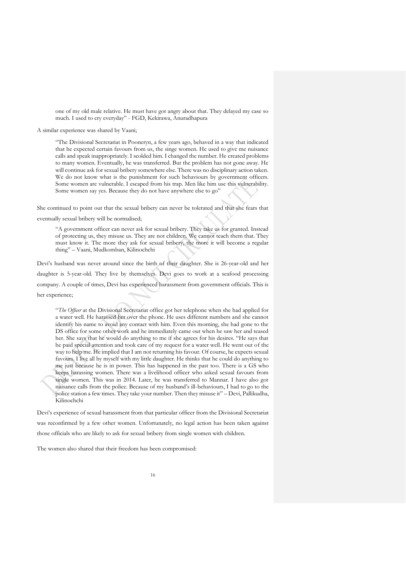one of my old male relative. He must have got angry about that. They delayed my case so much. I used to cry everyday" - FGD, Kekirawa, Anuradhapura

A similar experience was shared by Vaani;

"The Divisional Secretariat in Pooneryn, a few years ago, behaved in a way that indicated that he expected certain favours from us, the singe women. He used to give me nuisance calls and speak inappropriately. I scolded him. I changed the number. He created problems to many women. Eventually, he was transferred. But the problem has not gone away. He will continue ask for sexual bribery somewhere else. There was no disciplinary action taken. We do not know what is the punishment for such behaviours by government officers. Some women are vulnerable. I escaped from his trap. Men like him use this vulnerability. Some women say yes. Because they do not have anywhere else to go"

She continued to point out that the sexual bribery can never be tolerated and that she fears that eventually sexual bribery will be normalised;

"A government officer can never ask for sexual bribery. They take us for granted. Instead of protecting us, they misuse us. They are not children. We cannot teach them that. They must know it. The more they ask for sexual bribery, the more it will become a regular thing" – Vaani, Mudkomban, Kilinochchi

Devi's husband was never around since the birth of their daughter. She is 26-year-old and her daughter is 5-year-old. They live by themselves. Devi goes to work at a seafood processing company. A couple of times, Devi has experienced harassment from government officials. This is her experience;

"*The Officer* at the Divisional Secretariat office got her telephone when she had applied for a water well. He harassed her over the phone. He uses different numbers and she cannot identify his name to avoid any contact with him. Even this morning, she had gone to the DS office for some other work and he immediately came out when he saw her and teased her. She says that he would do anything to me if she agrees for his desires. "He says that he paid special attention and took care of my request for a water well. He went out of the way to help me. He implied that I am not returning his favour. Of course, he expects sexual favours. I live all by myself with my little daughter. He thinks that he could do anything to me just because he is in power. This has happened in the past too. There is a GS who keeps harassing women. There was a livelihood officer who asked sexual favours from single women. This was in 2014. Later, he was transferred to Mannar. I have also got nuisance calls from the police. Because of my husband's ill-behaviours, I had to go to the police station a few times. They take your number. Then they misuse it" – Devi, Pallikudha, Kilinochchi

Devi's experience of sexual harassment from that particular officer from the Divisional Secretariat was reconfirmed by a few other women. Unfortunately, no legal action has been taken against those officials who are likely to ask for sexual bribery from single women with children.

The women also shared that their freedom has been compromised: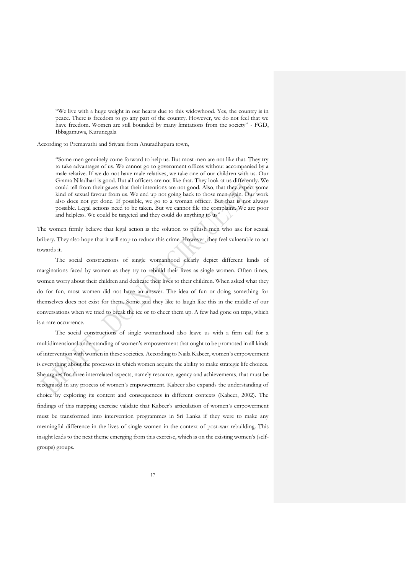"We live with a huge weight in our hearts due to this widowhood. Yes, the country is in peace. There is freedom to go any part of the country. However, we do not feel that we have freedom. Women are still bounded by many limitations from the society" - FGD, Ibbagamuwa, Kurunegala

According to Premavathi and Sriyani from Anuradhapura town,

"Some men genuinely come forward to help us. But most men are not like that. They try to take advantages of us. We cannot go to government offices without accompanied by a male relative. If we do not have male relatives, we take one of our children with us. Our Grama Niladhari is good. But all officers are not like that. They look at us differently. We could tell from their gazes that their intentions are not good. Also, that they expect some kind of sexual favour from us. We end up not going back to those men again. Our work also does not get done. If possible, we go to a woman officer. But that is not always possible. Legal actions need to be taken. But we cannot file the complaint. We are poor and helpless. We could be targeted and they could do anything to us'

The women firmly believe that legal action is the solution to punish men who ask for sexual bribery. They also hope that it will stop to reduce this crime. However, they feel vulnerable to act towards it.

The social constructions of single womanhood clearly depict different kinds of marginations faced by women as they try to rebuild their lives as single women. Often times, women worry about their children and dedicate their lives to their children. When asked what they do for fun, most women did not have an answer. The idea of fun or doing something for themselves does not exist for them. Some said they like to laugh like this in the middle of our conversations when we tried to break the ice or to cheer them up. A few had gone on trips, which is a rare occurrence.

The social constructions of single womanhood also leave us with a firm call for a multidimensional understanding of women's empowerment that ought to be promoted in all kinds of intervention with women in these societies. According to Naila Kabeer, women's empowerment is everything about the processes in which women acquire the ability to make strategic life choices. She argues for three interrelated aspects, namely resource, agency and achievements, that must be recognised in any process of women's empowerment. Kabeer also expands the understanding of choice by exploring its content and consequences in different contexts (Kabeer, 2002). The findings of this mapping exercise validate that Kabeer's articulation of women's empowerment must be transformed into intervention programmes in Sri Lanka if they were to make any meaningful difference in the lives of single women in the context of post-war rebuilding. This insight leads to the next theme emerging from this exercise, which is on the existing women's (selfgroups) groups.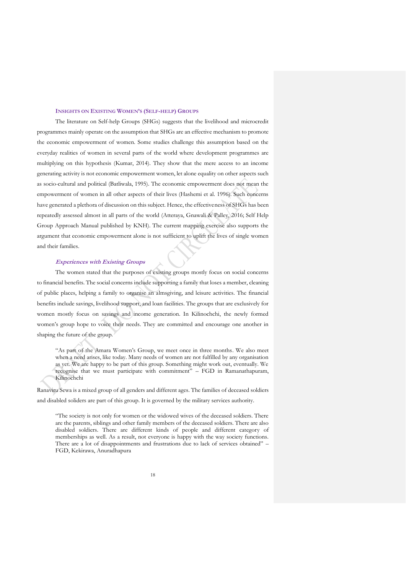#### **INSIGHTS ON EXISTING WOMEN'S (SELF-HELP) GROUPS**

<span id="page-18-0"></span>The literature on Self-help Groups (SHGs) suggests that the livelihood and microcredit programmes mainly operate on the assumption that SHGs are an effective mechanism to promote the economic empowerment of women. Some studies challenge this assumption based on the everyday realities of women in several parts of the world where development programmes are multiplying on this hypothesis (Kumar, 2014). They show that the mere access to an income generating activity is not economic empowerment women, let alone equality on other aspects such as socio-cultural and political (Batliwala, 1995). The economic empowerment does not mean the empowerment of women in all other aspects of their lives (Hashemi et al. 1996). Such concerns have generated a plethora of discussion on this subject. Hence, the effectiveness of SHGs has been repeatedly assessed almost in all parts of the world (Atteraya, Gnawali & Palley, 2016; Self Help Group Approach Manual published by KNH). The current mapping exercise also supports the argument that economic empowerment alone is not sufficient to uplift the lives of single women and their families.

#### <span id="page-18-1"></span>**Experiences with Existing Groups**

The women stated that the purposes of existing groups mostly focus on social concerns to financial benefits. The social concerns include supporting a family that loses a member, cleaning of public places, helping a family to organise an almsgiving, and leisure activities. The financial benefits include savings, livelihood support, and loan facilities. The groups that are exclusively for women mostly focus on savings and income generation. In Kilinochchi, the newly formed women's group hope to voice their needs. They are committed and encourage one another in shaping the future of the group.

"As part of the Amara Women's Group, we meet once in three months. We also meet when a need arises, like today. Many needs of women are not fulfilled by any organisation as yet. We are happy to be part of this group. Something might work out, eventually. We recognise that we must participate with commitment" – FGD in Ramanathapuram, Kilinochchi

Ranaviru Sewa is a mixed group of all genders and different ages. The families of deceased soldiers and disabled soliders are part of this group. It is governed by the military services authority.

"The society is not only for women or the widowed wives of the deceased soldiers. There are the parents, siblings and other family members of the deceased soldiers. There are also disabled soldiers. There are different kinds of people and different category of memberships as well. As a result, not everyone is happy with the way society functions. There are a lot of disappointments and frustrations due to lack of services obtained" – FGD, Kekirawa, Anuradhapura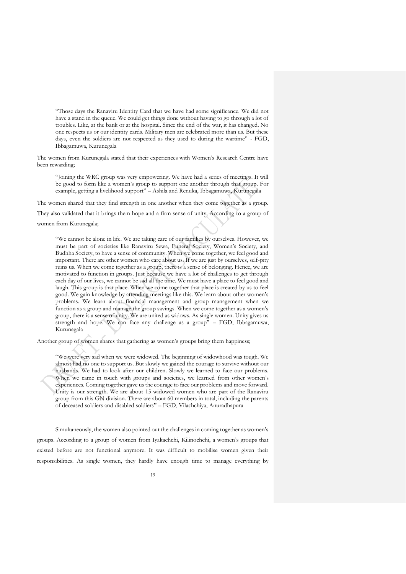"Those days the Ranaviru Identity Card that we have had some significance. We did not have a stand in the queue. We could get things done without having to go through a lot of troubles. Like, at the bank or at the hospital. Since the end of the war, it has changed. No one respects us or our identity cards. Military men are celebrated more than us. But these days, even the soldiers are not respected as they used to during the wartime" - FGD, Ibbagamuwa, Kurunegala

The women from Kurunegala stated that their experiences with Women's Research Centre have been rewarding;

"Joining the WRC group was very empowering. We have had a series of meetings. It will be good to form like a women's group to support one another through that group. For example, getting a livelihood support" – Ashila and Renuka, Ibbagamuwa, Kurunegala

The women shared that they find strength in one another when they come together as a group.

They also validated that it brings them hope and a firm sense of unity. According to a group of women from Kurunegala;

"We cannot be alone in life. We are taking care of our families by ourselves. However, we must be part of societies like Ranaviru Sewa, Funeral Society, Women's Society, and Budhha Society, to have a sense of community. When we come together, we feel good and important. There are other women who care about us. If we are just by ourselves, self-pity ruins us. When we come together as a group, there is a sense of belonging. Hence, we are motivated to function in groups. Just because we have a lot of challenges to get through each day of our lives, we cannot be sad all the time. We must have a place to feel good and laugh. This group is that place. When we come together that place is created by us to feel good. We gain knowledge by attending meetings like this. We learn about other women's problems. We learn about financial management and group management when we function as a group and manage the group savings. When we come together as a women's group, there is a sense of unity. We are united as widows. As single women. Unity gives us strength and hope. We can face any challenge as a group" – FGD, Ibbagamuwa, Kurunegala

Another group of women shares that gathering as women's groups bring them happiness;

"We were very sad when we were widowed. The beginning of widowhood was tough. We almost had no one to support us. But slowly we gained the courage to survive without our husbands. We had to look after our children. Slowly we learned to face our problems. When we came in touch with groups and societies, we learned from other women's experiences. Coming together gave us the courage to face our problems and move forward. Unity is our strength. We are about 15 widowed women who are part of the Ranaviru group from this GN division. There are about 60 members in total, including the parents of deceased soldiers and disabled soldiers" – FGD, Vilachchiya, Anuradhapura

Simultaneously, the women also pointed out the challenges in coming together as women's groups. According to a group of women from Iyakachchi, Kilinochchi, a women's groups that existed before are not functional anymore. It was difficult to mobilise women given their responsibilities. As single women, they hardly have enough time to manage everything by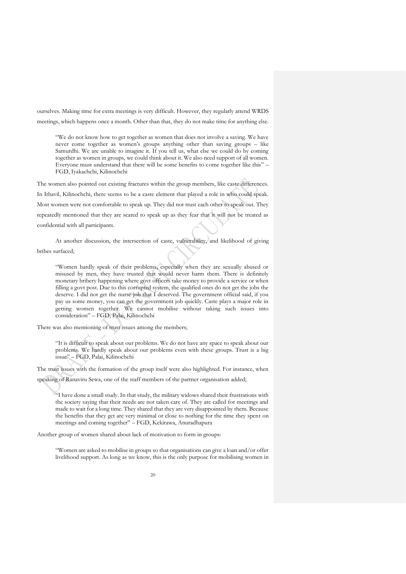ourselves. Making time for extra meetings is very difficult. However, they regularly attend WRDS meetings, which happens once a month. Other than that, they do not make time for anything else.

"We do not know how to get together as women that does not involve a saving. We have never come together as women's groups anything other than saving groups – like Samurdhi. We are unable to imagine it. If you tell us, what else we could do by coming together as women in groups, we could think about it. We also need support of all women. Everyone must understand that there will be some benefits to come together like this" – FGD, Iyakachchi, Kilinochchi

The women also pointed out existing fractures within the group members, like caste differences. In Ithavil, Kilinochchi, there seems to be a caste element that played a role in who could speak. Most women were not comfortable to speak up. They did not trust each other to speak out. They repeatedly mentioned that they are scared to speak up as they fear that it will not be treated as confidential with all participants.

At another discussion, the intersection of caste, vulnerability, and likelihood of giving bribes surfaced;

"Women hardly speak of their problems, especially when they are sexually abused or misused by men, they have trusted that would never harm them. There is definitely monetary bribery happening where govt officers take money to provide a service or when filling a govt post. Due to this corrupted system, the qualified ones do not get the jobs the deserve. I did not get the nurse job that I deserved. The government official said, if you pay us some money, you can get the government job quickly. Caste plays a major role in getting women together. We cannot mobilise without taking such issues into consideration" – FGD, Palai, Kilinochchi

There was also mentioning of trust issues among the members;

"It is difficult to speak about our problems. We do not have any space to speak about our problems. We hardly speak about our problems even with these groups. Trust is a big issue" – FGD, Palai, Kilinochchi

The trust issues with the formation of the group itself were also highlighted. For instance, when

speaking of Ranaviru Sewa, one of the staff members of the partner organisation added;

"I have done a small study. In that study, the military widows shared their frustrations with the society saying that their needs are not taken care of. They are called for meetings and made to wait for a long time. They shared that they are very disappointed by them. Because the benefits that they get are very minimal or close to nothing for the time they spent on meetings and coming together" – FGD, Kekirawa, Anuradhapura

Another group of women shared about lack of motivation to form in groups:

"Women are asked to mobilise in groups so that organisations can give a loan and/or offer livelihood support. As long as we know, this is the only purpose for mobilising women in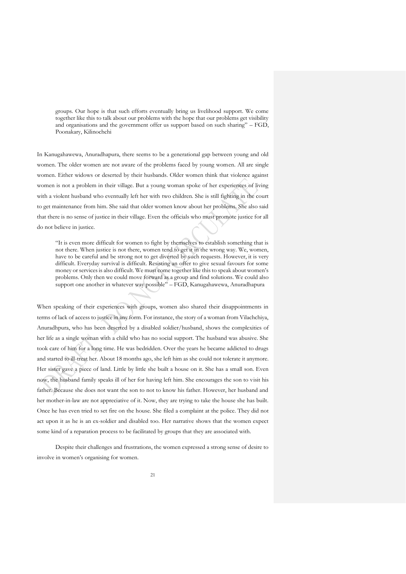groups. Our hope is that such efforts eventually bring us livelihood support. We come together like this to talk about our problems with the hope that our problems get visibility and organisations and the government offer us support based on such sharing" – FGD, Poonakary, Kilinochchi

In Kanugahawewa, Anuradhapura, there seems to be a generational gap between young and old women. The older women are not aware of the problems faced by young women. All are single women. Either widows or deserted by their husbands. Older women think that violence against women is not a problem in their village. But a young woman spoke of her experiences of living with a violent husband who eventually left her with two children. She is still fighting in the court to get maintenance from him. She said that older women know about her problems. She also said that there is no sense of justice in their village. Even the officials who must promote justice for all do not believe in justice.

"It is even more difficult for women to fight by themselves to establish something that is not there. When justice is not there, women tend to get it in the wrong way. We, women, have to be careful and be strong not to get diverted by such requests. However, it is very difficult. Everyday survival is difficult. Resisting an offer to give sexual favours for some money or services is also difficult. We must come together like this to speak about women's problems. Only then we could move forward as a group and find solutions. We could also support one another in whatever way possible" – FGD, Kanugahawewa, Anuradhapura

When speaking of their experiences with groups, women also shared their disappointments in terms of lack of access to justice in any form. For instance, the story of a woman from Vilachchiya, Anuradhpura, who has been deserted by a disabled soldier/husband, shows the complexities of her life as a single woman with a child who has no social support. The husband was abusive. She took care of him for a long time. He was bedridden. Over the years he became addicted to drugs and started to ill-treat her. About 18 months ago, she left him as she could not tolerate it anymore. Her sister gave a piece of land. Little by little she built a house on it. She has a small son. Even now, the husband family speaks ill of her for having left him. She encourages the son to visit his father. Because she does not want the son to not to know his father. However, her husband and her mother-in-law are not appreciative of it. Now, they are trying to take the house she has built. Once he has even tried to set fire on the house. She filed a complaint at the police. They did not act upon it as he is an ex-soldier and disabled too. Her narrative shows that the women expect some kind of a reparation process to be facilitated by groups that they are associated with.

Despite their challenges and frustrations, the women expressed a strong sense of desire to involve in women's organising for women.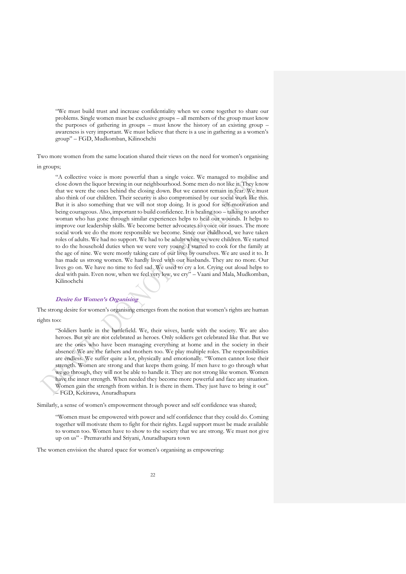"We must build trust and increase confidentiality when we come together to share our problems. Single women must be exclusive groups – all members of the group must know the purposes of gathering in groups – must know the history of an existing group – awareness is very important. We must believe that there is a use in gathering as a women's group" – FGD, Mudkomban, Kilinochchi

Two more women from the same location shared their views on the need for women's organising

in groups;

"A collective voice is more powerful than a single voice. We managed to mobilise and close down the liquor brewing in our neighbourhood. Some men do not like it. They know that we were the ones behind the closing down. But we cannot remain in fear. We must also think of our children. Their security is also compromised by our social work like this. But it is also something that we will not stop doing. It is good for self-motivation and being courageous. Also, important to build confidence. It is healing too – talking to another woman who has gone through similar experiences helps to heal our wounds. It helps to improve our leadership skills. We become better advocates to voice our issues. The more social work we do the more responsible we become. Since our childhood, we have taken roles of adults. We had no support. We had to be adults when we were children. We started to do the household duties when we were very young. I started to cook for the family at the age of nine. We were mostly taking care of our lives by ourselves. We are used it to. It has made us strong women. We hardly lived with our husbands. They are no more. Our lives go on. We have no time to feel sad. We used to cry a lot. Crying out aloud helps to deal with pain. Even now, when we feel very low, we cry" – Vaani and Mala, Mudkomban, Kilinochchi

# <span id="page-22-0"></span>**Desire for Women's Organising**

The strong desire for women's organising emerges from the notion that women's rights are human rights too:

"Soldiers battle in the battlefield. We, their wives, battle with the society. We are also heroes. But we are not celebrated as heroes. Only soldiers get celebrated like that. But we are the ones who have been managing everything at home and in the society in their absence. We are the fathers and mothers too. We play multiple roles. The responsibilities are endless. We suffer quite a lot, physically and emotionally. "Women cannot lose their strength. Women are strong and that keeps them going. If men have to go through what we go through, they will not be able to handle it. They are not strong like women. Women have the inner strength. When needed they become more powerful and face any situation. Women gain the strength from within. It is there in them. They just have to bring it out" – FGD, Kekirawa, Anuradhapura

Similarly, a sense of women's empowerment through power and self confidence was shared;

"Women must be empowered with power and self confidence that they could do. Coming together will motivate them to fight for their rights. Legal support must be made available to women too. Women have to show to the society that we are strong. We must not give up on us" - Premavathi and Sriyani, Anuradhapura town

The women envision the shared space for women's organising as empowering: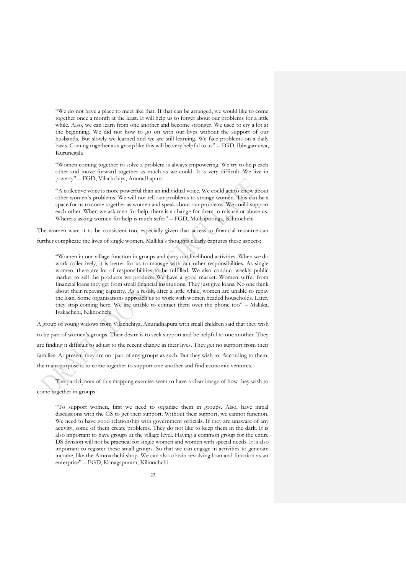"We do not have a place to meet like that. If that can be arranged, we would like to come together once a month at the least. It will help us to forget about our problems for a little while. Also, we can learn from one another and become stronger. We used to cry a lot at the beginning. We did not how to go on with our lives without the support of our husbands. But slowly we learned and we are still learning. We face problems on a daily basis. Coming together as a group like this will be very helpful to us" – FGD, Ibbagamuwa, Kurunegala

"Women coming together to solve a problem is always empowering. We try to help each other and move forward together as much as we could. It is very difficult. We live in poverty" – FGD, Vilachchiya, Anuradhapura

"A collective voice is more powerful than an individual voice. We could get to know about other women's problems. We will not tell our problems to strange women. This can be a space for us to come together as women and speak about our problems. We could support each other. When we ask men for help, there is a change for them to misuse or abuse us. Whereas asking women for help is much safer" – FGD, Mullaipoonga, Kilinochchi

The women want it to be consistent too, especially given that access to financial resource can

further complicate the lives of single women. Mallika's thoughts clearly captures these aspects;

"Women in our village function in groups and carry out livelihood activities. When we do work collectively, it is better for us to manage with our other responsibilities. As single women, there are lot of responsibilities to be fulfilled. We also conduct weekly public market to sell the products we produce. We have a good market. Women suffer from financial loans they get from small financial institutions. They just give loans. No one think about their repaying capacity. As a result, after a little while, women are unable to repay the loan. Some organisations approach us to work with women headed households. Later, they stop coming here. We are unable to contact them over the phone too" – Mallika, Iyakachchi, Kilinochchi

A group of young widows from Vilachchiya, Anuradhapura with small children said that they wish to be part of women's groups. Their desire is to seek support and be helpful to one another. They are finding it difficult to adjust to the recent change in their lives. They get no support from their families. At present they are not part of any groups as such. But they wish to. According to them, the main purpose is to come together to support one another and find economic ventures.

The participants of this mapping exercise seem to have a clear image of how they wish to come together in groups:

"To support women, first we need to organise them in groups. Also, have initial discussions with the GS to get their support. Without their support, we cannot function. We need to have good relationship with government officials. If they are unaware of any activity, some of them create problems. They do not like to keep them in the dark. It is also important to have groups at the village level. Having a common group for the entire DS division will not be practical for single women and women with special needs. It is also important to register these small groups. So that we can engage in activities to generate income, like the Ammachchi shop. We can also obtain revolving loan and function as an enterprise" – FGD, Kanagapuram, Kilinochchi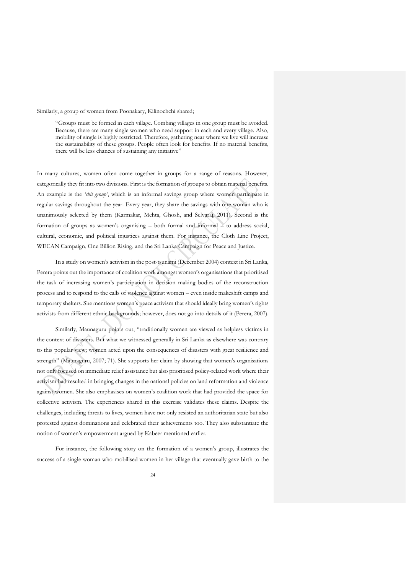Similarly, a group of women from Poonakary, Kilinochchi shared;

"Groups must be formed in each village. Combing villages in one group must be avoided. Because, there are many single women who need support in each and every village. Also, mobility of single is highly restricted. Therefore, gathering near where we live will increase the sustainability of these groups. People often look for benefits. If no material benefits, there will be less chances of sustaining any initiative"

In many cultures, women often come together in groups for a range of reasons. However, categorically they fit into two divisions. First is the formation of groups to obtain material benefits. An example is the *'chit group'*, which is an informal savings group where women participate in regular savings throughout the year. Every year, they share the savings with one woman who is unanimously selected by them (Karmakar, Mehta, Ghosh, and Selvaraj, 2011). Second is the formation of groups as women's organising – both formal and informal – to address social, cultural, economic, and political injustices against them. For instance, the Cloth Line Project, WECAN Campaign, One Billion Rising, and the Sri Lanka Campaign for Peace and Justice.

In a study on women's activism in the post-tsunami (December 2004) context in Sri Lanka, Perera points out the importance of coalition work amongst women's organisations that prioritised the task of increasing women's participation in decision making bodies of the reconstruction process and to respond to the calls of violence against women – even inside makeshift camps and temporary shelters. She mentions women's peace activism that should ideally bring women's rights activists from different ethnic backgrounds; however, does not go into details of it (Perera, 2007).

Similarly, Maunaguru points out, "traditionally women are viewed as helpless victims in the context of disasters. But what we witnessed generally in Sri Lanka as elsewhere was contrary to this popular view; women acted upon the consequences of disasters with great resilience and strength" (Maunaguru, 2007; 71). She supports her claim by showing that women's organisations not only focused on immediate relief assistance but also prioritised policy-related work where their activism had resulted in bringing changes in the national policies on land reformation and violence against women. She also emphasises on women's coalition work that had provided the space for collective activism. The experiences shared in this exercise validates these claims. Despite the challenges, including threats to lives, women have not only resisted an authoritarian state but also protested against dominations and celebrated their achievements too. They also substantiate the notion of women's empowerment argued by Kabeer mentioned earlier.

For instance, the following story on the formation of a women's group, illustrates the success of a single woman who mobilised women in her village that eventually gave birth to the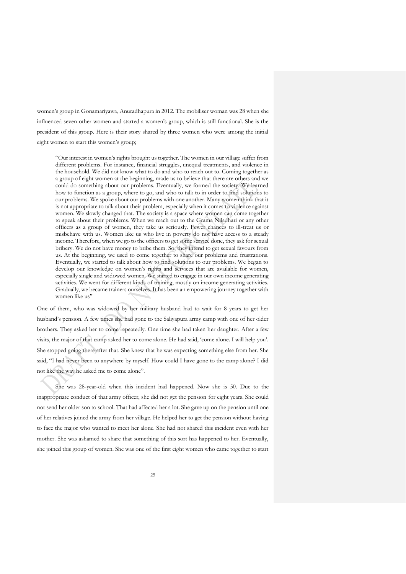women's group in Gonamariyawa, Anuradhapura in 2012. The mobiliser woman was 28 when she influenced seven other women and started a women's group, which is still functional. She is the president of this group. Here is their story shared by three women who were among the initial eight women to start this women's group;

"Our interest in women's rights brought us together. The women in our village suffer from different problems. For instance, financial struggles, unequal treatments, and violence in the household. We did not know what to do and who to reach out to. Coming together as a group of eight women at the beginning, made us to believe that there are others and we could do something about our problems. Eventually, we formed the society. We learned how to function as a group, where to go, and who to talk to in order to find solutions to our problems. We spoke about our problems with one another. Many women think that it is not appropriate to talk about their problem, especially when it comes to violence against women. We slowly changed that. The society is a space where women can come together to speak about their problems. When we reach out to the Grama Niladhari or any other officers as a group of women, they take us seriously. Fewer chances to ill-treat us or misbehave with us. Women like us who live in poverty do not have access to a steady income. Therefore, when we go to the officers to get some service done, they ask for sexual bribery. We do not have money to bribe them. So, they intend to get sexual favours from us. At the beginning, we used to come together to share our problems and frustrations. Eventually, we started to talk about how to find solutions to our problems. We began to develop our knowledge on women's rights and services that are available for women, especially single and widowed women. We started to engage in our own income generating activities. We went for different kinds of training, mostly on income generating activities. Gradually, we became trainers ourselves. It has been an empowering journey together with women like us"

One of them, who was widowed by her military husband had to wait for 8 years to get her husband's pension. A few times she had gone to the Saliyapura army camp with one of her older brothers. They asked her to come repeatedly. One time she had taken her daughter. After a few visits, the major of that camp asked her to come alone. He had said, 'come alone. I will help you'. She stopped going there after that. She knew that he was expecting something else from her. She said, "I had never been to anywhere by myself. How could I have gone to the camp alone? I did not like the way he asked me to come alone".

She was 28-year-old when this incident had happened. Now she is 50. Due to the inappropriate conduct of that army officer, she did not get the pension for eight years. She could not send her older son to school. That had affected her a lot. She gave up on the pension until one of her relatives joined the army from her village. He helped her to get the pension without having to face the major who wanted to meet her alone. She had not shared this incident even with her mother. She was ashamed to share that something of this sort has happened to her. Eventually, she joined this group of women. She was one of the first eight women who came together to start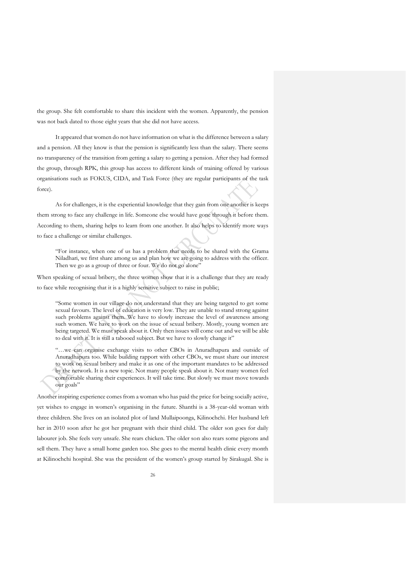the group. She felt comfortable to share this incident with the women. Apparently, the pension was not back dated to those eight years that she did not have access.

It appeared that women do not have information on what is the difference between a salary and a pension. All they know is that the pension is significantly less than the salary. There seems no transparency of the transition from getting a salary to getting a pension. After they had formed the group, through RPK, this group has access to different kinds of training offered by various organisations such as FOKUS, CIDA, and Task Force (they are regular participants of the task force).

As for challenges, it is the experiential knowledge that they gain from one another is keeps them strong to face any challenge in life. Someone else would have gone through it before them. According to them, sharing helps to learn from one another. It also helps to identify more ways to face a challenge or similar challenges.

"For instance, when one of us has a problem that needs to be shared with the Grama Niladhari, we first share among us and plan how we are going to address with the officer. Then we go as a group of three or four. We do not go alone"

When speaking of sexual bribery, the three women show that it is a challenge that they are ready to face while recognising that it is a highly sensitive subject to raise in public;

"Some women in our village do not understand that they are being targeted to get some sexual favours. The level of education is very low. They are unable to stand strong against such problems against them. We have to slowly increase the level of awareness among such women. We have to work on the issue of sexual bribery. Mostly, young women are being targeted. We must speak about it. Only then issues will come out and we will be able to deal with it. It is still a tabooed subject. But we have to slowly change it"

"…we can organise exchange visits to other CBOs in Anuradhapura and outside of Anuradhapura too. While building rapport with other CBOs, we must share our interest to work on sexual bribery and make it as one of the important mandates to be addressed by the network. It is a new topic. Not many people speak about it. Not many women feel comfortable sharing their experiences. It will take time. But slowly we must move towards our goals"

Another inspiring experience comes from a woman who has paid the price for being socially active, yet wishes to engage in women's organising in the future. Shanthi is a 38-year-old woman with three children. She lives on an isolated plot of land Mullaipoonga, Kilinochchi. Her husband left her in 2010 soon after he got her pregnant with their third child. The older son goes for daily labourer job. She feels very unsafe. She rears chicken. The older son also rears some pigeons and sell them. They have a small home garden too. She goes to the mental health clinic every month at Kilinochchi hospital. She was the president of the women's group started by Sirakugal. She is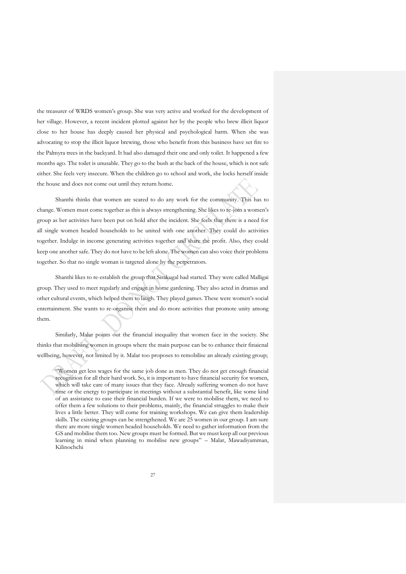the treasurer of WRDS women's group. She was very active and worked for the development of her village. However, a recent incident plotted against her by the people who brew illicit liquor close to her house has deeply caused her physical and psychological harm. When she was advocating to stop the illicit liquor brewing, those who benefit from this business have set fire to the Palmyra trees in the backyard. It had also damaged their one and only toilet. It happened a few months ago. The toilet is unusable. They go to the bush at the back of the house, which is not safe either. She feels very insecure. When the children go to school and work, she locks herself inside the house and does not come out until they return home.

Shanthi thinks that women are scared to do any work for the community. This has to change. Women must come together as this is always strengthening. She likes to re-join a women's group as her activities have been put on hold after the incident. She feels that there is a need for all single women headed households to be united with one another. They could do activities together. Indulge in income generating activities together and share the profit. Also, they could keep one another safe. They do not have to be left alone. The women can also voice their problems together. So that no single woman is targeted alone by the perpetrators.

Shanthi likes to re-establish the group that Sirakugal had started. They were called Malligai group. They used to meet regularly and engage in home gardening. They also acted in dramas and other cultural events, which helped them to laugh. They played games. These were women's social entertainment. She wants to re-organise them and do more activities that promote unity among them.

Similarly, Malar points out the financial inequality that women face in the society. She thinks that mobilising women in groups where the main purpose can be to enhance their finaicnal wellbeing, however, not limited by it. Malar too proposes to remobilise an already existing group;

<sup>&</sup>quot;Women get less wages for the same job done as men. They do not get enough financial recognition for all their hard work. So, it is important to have financial security for women, which will take care of many issues that they face. Already suffering women do not have time or the energy to participate in meetings without a substantial benefit, like some kind of an assistance to ease their financial burden. If we were to mobilise them, we need to offer them a few solutions to their problems, mainly, the financial struggles to make their lives a little better. They will come for training workshops. We can give them leadership skills. The existing groups can be strengthened. We are 25 women in our group. I am sure there are more single women headed households. We need to gather information from the GS and mobilise them too. New groups must be formed. But we must keep all our previous learning in mind when planning to mobilise new groups" – Malar, Mawadiyamman, Kilinochchi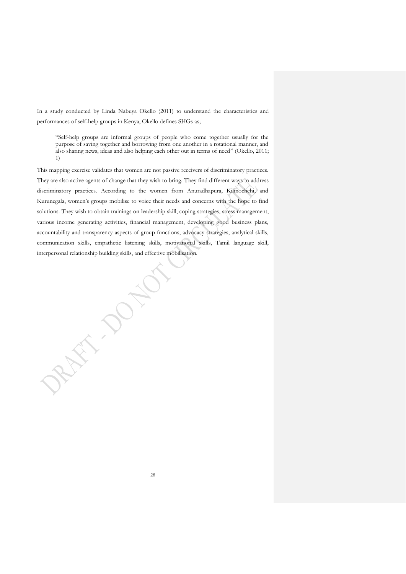In a study conducted by Linda Nabuya Okello (2011) to understand the characteristics and performances of self-help groups in Kenya, Okello defines SHGs as;

"Self-help groups are informal groups of people who come together usually for the purpose of saving together and borrowing from one another in a rotational manner, and also sharing news, ideas and also helping each other out in terms of need" (Okello, 2011; 1)

This mapping exercise validates that women are not passive receivers of discriminatory practices. They are also active agents of change that they wish to bring. They find different ways to address discriminatory practices. According to the women from Anuradhapura, Kilinochchi, and Kurunegala, women's groups mobilise to voice their needs and concerns with the hope to find solutions. They wish to obtain trainings on leadership skill, coping strategies, stress management, various income generating activities, financial management, developing good business plans, accountability and transparency aspects of group functions, advocacy strategies, analytical skills, communication skills, empathetic listening skills, motivational skills, Tamil language skill, interpersonal relationship building skills, and effective mobilisation.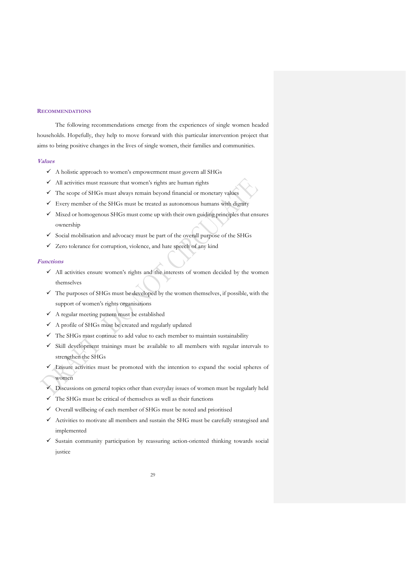#### <span id="page-29-0"></span>**RECOMMENDATIONS**

The following recommendations emerge from the experiences of single women headed households. Hopefully, they help to move forward with this particular intervention project that aims to bring positive changes in the lives of single women, their families and communities.

#### <span id="page-29-1"></span>**Values**

- ✓ A holistic approach to women's empowerment must govern all SHGs
- ✓ All activities must reassure that women's rights are human rights
- $\checkmark$  The scope of SHGs must always remain beyond financial or monetary values
- $\checkmark$  Every member of the SHGs must be treated as autonomous humans with dignity
- $\checkmark$  Mixed or homogenous SHGs must come up with their own guiding principles that ensures ownership
- $\checkmark$  Social mobilisation and advocacy must be part of the overall purpose of the SHGs
- $\checkmark$  Zero tolerance for corruption, violence, and hate speech of any kind

#### <span id="page-29-2"></span>**Functions**

- $\checkmark$  All activities ensure women's rights and the interests of women decided by the women themselves
- ✓ The purposes of SHGs must be developed by the women themselves, if possible, with the support of women's rights organisations
- ✓ A regular meeting pattern must be established
- $\checkmark$  A profile of SHGs must be created and regularly updated
- $\checkmark$  The SHGs must continue to add value to each member to maintain sustainability
- ✓ Skill development trainings must be available to all members with regular intervals to strengthen the SHGs
- ✓ Leisure activities must be promoted with the intention to expand the social spheres of women
- $\checkmark$  Discussions on general topics other than everyday issues of women must be regularly held
- $\checkmark$  The SHGs must be critical of themselves as well as their functions
- $\checkmark$  Overall wellbeing of each member of SHGs must be noted and prioritised
- ✓ Activities to motivate all members and sustain the SHG must be carefully strategised and implemented
- ✓ Sustain community participation by reassuring action-oriented thinking towards social justice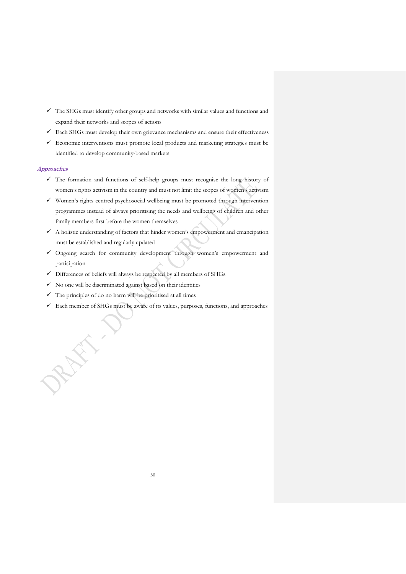- $\checkmark$  The SHGs must identify other groups and networks with similar values and functions and expand their networks and scopes of actions
- ✓ Each SHGs must develop their own grievance mechanisms and ensure their effectiveness
- ✓ Economic interventions must promote local products and marketing strategies must be identified to develop community-based markets

# <span id="page-30-0"></span>**Approaches**

- ✓ The formation and functions of self-help groups must recognise the long history of women's rights activism in the country and must not limit the scopes of women's activism
- ✓ Women's rights centred psychosocial wellbeing must be promoted through intervention programmes instead of always prioritising the needs and wellbeing of children and other family members first before the women themselves
- $\checkmark$  A holistic understanding of factors that hinder women's empowerment and emancipation must be established and regularly updated
- ✓ Ongoing search for community development through women's empowerment and participation
- ✓ Differences of beliefs will always be respected by all members of SHGs
- $\checkmark$  No one will be discriminated against based on their identities
- $\checkmark$  The principles of do no harm will be prioritised at all times

REFE

 $\checkmark$  Each member of SHGs must be aware of its values, purposes, functions, and approaches